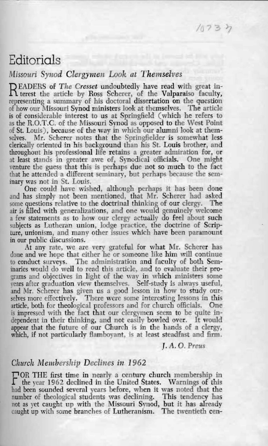## Editorials

## Missouri Synod Clergymen Look at Themselves

READERS of The Cresset undoubtedly have read with great in-<br>R terest the article by Ross Scherer, of the Valparaiso faculty, representing a summary of his doctoral dissertation on the question of how our Missouri Synod ministers look at themselves. The article is of considerable interest to us at Springfield (which he refers to as the R.O.T.C. of the Missouri Synod as opposed to the West Point of St. Louis), because of the way in which our alumni look at themselves. Mr. Scherer notes that the Springfielder is somewhat less clerically oriented in his background than his St. Louis brother, and throughout his professional life retains a greater admiration for, or at least stands in greater awe of, Synodical officials. One might venture the guess that this is perhaps due not so much to the fact that he attended a different seminary, but perhaps because the seminary was not in St. Louis.

One could have wished, although perhaps it has been done and has simply not been mentioned, that Mr. Scherer had asked some questions relative to the doctrinal thinking of our clergy. The air is filled with generalizations, and one would genuinely welcome a few statements as to how our clergy actually do feel about such subjects as Lutheran union, lodge practice, the doctrine of Scripture, unionism, and many other issues which have been paramount in our public discussions.

At any rate, we are very grateful for what Mr. Scherer has done and we hope that either he or someone like him will continue to conduct surveys. The administration and faculty of both Seminaries would do well to read this article, and to evaluate their programs and objectives in light of the way in which ministers some years after graduation view themselves. Self-study is always useful, and Mr. Scherer has given us a good lesson in how to study ourselves more effectively. There were some interesting lessons in this article, both for theological professors and for church officials. One is impressed with the fact that our clergymen seem to be quite independent in their thinking, and not easily bowled over. It would appear that the future of our Church is in the hands of a clergy, which, if not particularly flamboyant, is at least steadfast and firm.

I.A.O. Preus

## Church Membership Declines in 1962

TOR THE first time in nearly a century church membership in the year 1962 declined in the United States. Warnings of this had been sounded several years before, when it was noted that the number of theological students was declining. This tendency has not as yet caught up with the Missouri Synod, but it has already caught up with some branches of Lutheranism. The twentieth cen